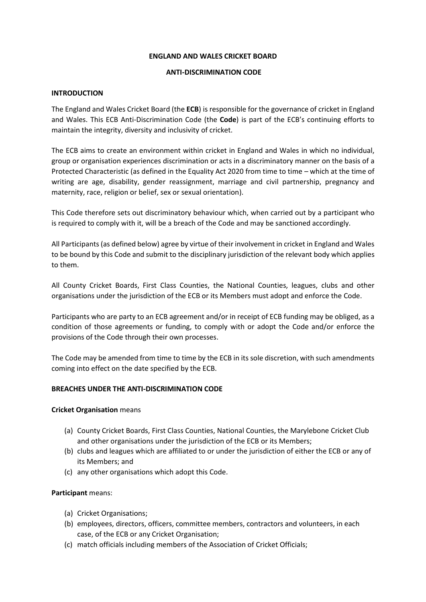#### **ENGLAND AND WALES CRICKET BOARD**

## **ANTI-DISCRIMINATION CODE**

## **INTRODUCTION**

The England and Wales Cricket Board (the **ECB**) is responsible for the governance of cricket in England and Wales. This ECB Anti-Discrimination Code (the **Code**) is part of the ECB's continuing efforts to maintain the integrity, diversity and inclusivity of cricket.

The ECB aims to create an environment within cricket in England and Wales in which no individual, group or organisation experiences discrimination or acts in a discriminatory manner on the basis of a Protected Characteristic (as defined in the Equality Act 2020 from time to time – which at the time of writing are age, disability, gender reassignment, marriage and civil partnership, pregnancy and maternity, race, religion or belief, sex or sexual orientation).

This Code therefore sets out discriminatory behaviour which, when carried out by a participant who is required to comply with it, will be a breach of the Code and may be sanctioned accordingly.

All Participants (as defined below) agree by virtue of their involvement in cricket in England and Wales to be bound by this Code and submit to the disciplinary jurisdiction of the relevant body which applies to them.

All County Cricket Boards, First Class Counties, the National Counties, leagues, clubs and other organisations under the jurisdiction of the ECB or its Members must adopt and enforce the Code.

Participants who are party to an ECB agreement and/or in receipt of ECB funding may be obliged, as a condition of those agreements or funding, to comply with or adopt the Code and/or enforce the provisions of the Code through their own processes.

The Code may be amended from time to time by the ECB in its sole discretion, with such amendments coming into effect on the date specified by the ECB.

## **BREACHES UNDER THE ANTI-DISCRIMINATION CODE**

## **Cricket Organisation** means

- (a) County Cricket Boards, First Class Counties, National Counties, the Marylebone Cricket Club and other organisations under the jurisdiction of the ECB or its Members;
- (b) clubs and leagues which are affiliated to or under the jurisdiction of either the ECB or any of its Members; and
- (c) any other organisations which adopt this Code.

## **Participant** means:

- (a) Cricket Organisations;
- (b) employees, directors, officers, committee members, contractors and volunteers, in each case, of the ECB or any Cricket Organisation;
- (c) match officials including members of the Association of Cricket Officials;